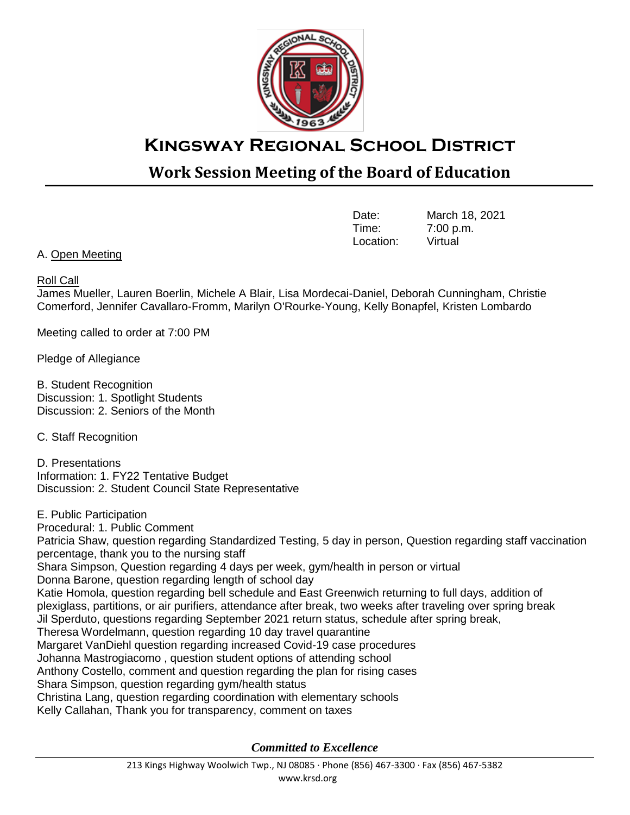

## **Kingsway Regional School District**

## **Work Session Meeting of the Board of Education**

| Date:     | March 18, 2021 |
|-----------|----------------|
| Time:     | 7:00 p.m.      |
| Location: | Virtual        |

A. Open Meeting

## Roll Call

James Mueller, Lauren Boerlin, Michele A Blair, Lisa Mordecai-Daniel, Deborah Cunningham, Christie Comerford, Jennifer Cavallaro-Fromm, Marilyn O'Rourke-Young, Kelly Bonapfel, Kristen Lombardo

Meeting called to order at 7:00 PM

Pledge of Allegiance

B. Student Recognition Discussion: 1. Spotlight Students Discussion: 2. Seniors of the Month

C. Staff Recognition

D. Presentations Information: 1. FY22 Tentative Budget Discussion: 2. Student Council State Representative

E. Public Participation Procedural: 1. Public Comment Patricia Shaw, question regarding Standardized Testing, 5 day in person, Question regarding staff vaccination percentage, thank you to the nursing staff Shara Simpson, Question regarding 4 days per week, gym/health in person or virtual Donna Barone, question regarding length of school day Katie Homola, question regarding bell schedule and East Greenwich returning to full days, addition of plexiglass, partitions, or air purifiers, attendance after break, two weeks after traveling over spring break Jil Sperduto, questions regarding September 2021 return status, schedule after spring break, Theresa Wordelmann, question regarding 10 day travel quarantine Margaret VanDiehl question regarding increased Covid-19 case procedures Johanna Mastrogiacomo , question student options of attending school Anthony Costello, comment and question regarding the plan for rising cases Shara Simpson, question regarding gym/health status Christina Lang, question regarding coordination with elementary schools Kelly Callahan, Thank you for transparency, comment on taxes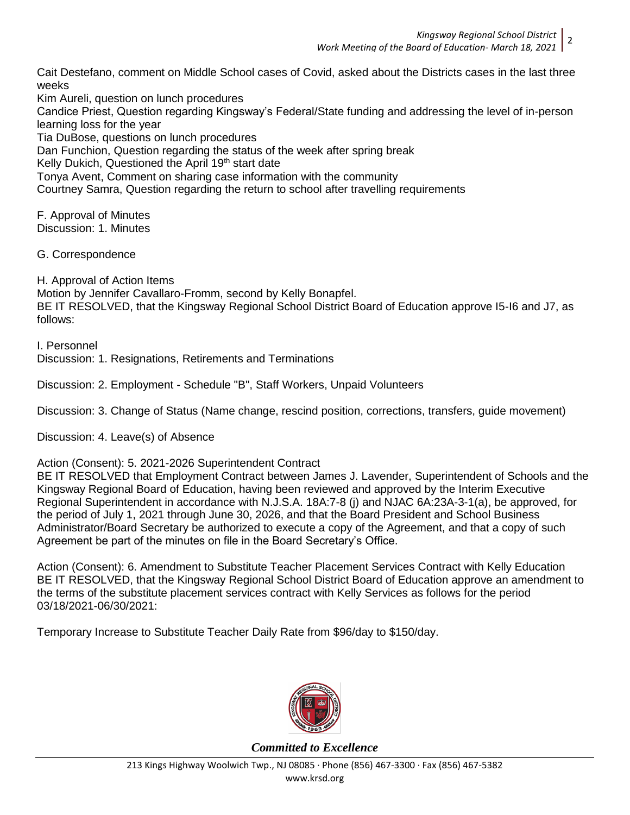Cait Destefano, comment on Middle School cases of Covid, asked about the Districts cases in the last three weeks

Kim Aureli, question on lunch procedures Candice Priest, Question regarding Kingsway's Federal/State funding and addressing the level of in-person learning loss for the year Tia DuBose, questions on lunch procedures Dan Funchion, Question regarding the status of the week after spring break Kelly Dukich, Questioned the April 19<sup>th</sup> start date Tonya Avent, Comment on sharing case information with the community Courtney Samra, Question regarding the return to school after travelling requirements

F. Approval of Minutes Discussion: 1. Minutes

G. Correspondence

H. Approval of Action Items

Motion by Jennifer Cavallaro-Fromm, second by Kelly Bonapfel. BE IT RESOLVED, that the Kingsway Regional School District Board of Education approve I5-I6 and J7, as follows:

I. Personnel Discussion: 1. Resignations, Retirements and Terminations

Discussion: 2. Employment - Schedule "B", Staff Workers, Unpaid Volunteers

Discussion: 3. Change of Status (Name change, rescind position, corrections, transfers, guide movement)

Discussion: 4. Leave(s) of Absence

Action (Consent): 5. 2021-2026 Superintendent Contract

BE IT RESOLVED that Employment Contract between James J. Lavender, Superintendent of Schools and the Kingsway Regional Board of Education, having been reviewed and approved by the Interim Executive Regional Superintendent in accordance with N.J.S.A. 18A:7-8 (j) and NJAC 6A:23A-3-1(a), be approved, for the period of July 1, 2021 through June 30, 2026, and that the Board President and School Business Administrator/Board Secretary be authorized to execute a copy of the Agreement, and that a copy of such Agreement be part of the minutes on file in the Board Secretary's Office.

Action (Consent): 6. Amendment to Substitute Teacher Placement Services Contract with Kelly Education BE IT RESOLVED, that the Kingsway Regional School District Board of Education approve an amendment to the terms of the substitute placement services contract with Kelly Services as follows for the period 03/18/2021-06/30/2021:

Temporary Increase to Substitute Teacher Daily Rate from \$96/day to \$150/day.

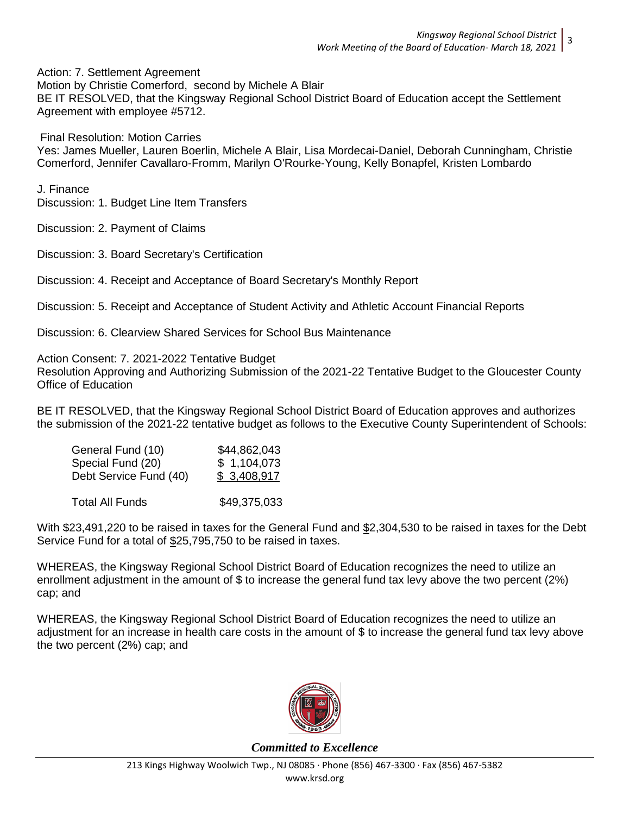Action: 7. Settlement Agreement

Motion by Christie Comerford, second by Michele A Blair BE IT RESOLVED, that the Kingsway Regional School District Board of Education accept the Settlement Agreement with employee #5712.

Final Resolution: Motion Carries

Yes: James Mueller, Lauren Boerlin, Michele A Blair, Lisa Mordecai-Daniel, Deborah Cunningham, Christie Comerford, Jennifer Cavallaro-Fromm, Marilyn O'Rourke-Young, Kelly Bonapfel, Kristen Lombardo

J. Finance

Discussion: 1. Budget Line Item Transfers

Discussion: 2. Payment of Claims

Discussion: 3. Board Secretary's Certification

Discussion: 4. Receipt and Acceptance of Board Secretary's Monthly Report

Discussion: 5. Receipt and Acceptance of Student Activity and Athletic Account Financial Reports

Discussion: 6. Clearview Shared Services for School Bus Maintenance

Action Consent: 7. 2021-2022 Tentative Budget

Resolution Approving and Authorizing Submission of the 2021-22 Tentative Budget to the Gloucester County Office of Education

BE IT RESOLVED, that the Kingsway Regional School District Board of Education approves and authorizes the submission of the 2021-22 tentative budget as follows to the Executive County Superintendent of Schools:

| General Fund (10)      | \$44,862,043 |
|------------------------|--------------|
| Special Fund (20)      | \$1,104,073  |
| Debt Service Fund (40) | \$3,408,917  |
|                        |              |
| Total All Funds        | \$49,375,033 |

With \$23,491,220 to be raised in taxes for the General Fund and \$2,304,530 to be raised in taxes for the Debt Service Fund for a total of \$25,795,750 to be raised in taxes.

WHEREAS, the Kingsway Regional School District Board of Education recognizes the need to utilize an enrollment adjustment in the amount of \$ to increase the general fund tax levy above the two percent (2%) cap; and

WHEREAS, the Kingsway Regional School District Board of Education recognizes the need to utilize an adjustment for an increase in health care costs in the amount of \$ to increase the general fund tax levy above the two percent (2%) cap; and

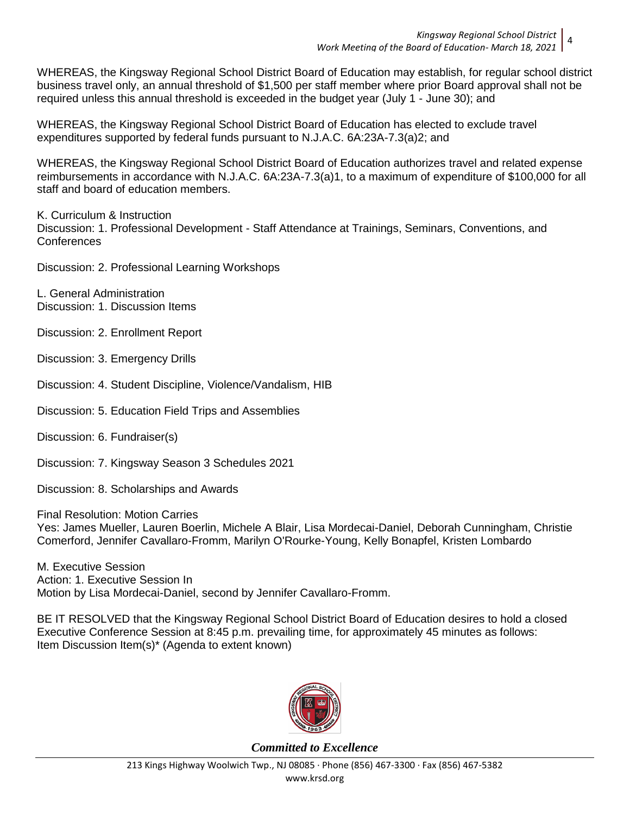WHEREAS, the Kingsway Regional School District Board of Education may establish, for regular school district business travel only, an annual threshold of \$1,500 per staff member where prior Board approval shall not be required unless this annual threshold is exceeded in the budget year (July 1 - June 30); and

WHEREAS, the Kingsway Regional School District Board of Education has elected to exclude travel expenditures supported by federal funds pursuant to N.J.A.C. 6A:23A-7.3(a)2; and

WHEREAS, the Kingsway Regional School District Board of Education authorizes travel and related expense reimbursements in accordance with N.J.A.C. 6A:23A-7.3(a)1, to a maximum of expenditure of \$100,000 for all staff and board of education members.

K. Curriculum & Instruction Discussion: 1. Professional Development - Staff Attendance at Trainings, Seminars, Conventions, and Conferences

Discussion: 2. Professional Learning Workshops

L. General Administration Discussion: 1. Discussion Items

Discussion: 2. Enrollment Report

Discussion: 3. Emergency Drills

Discussion: 4. Student Discipline, Violence/Vandalism, HIB

Discussion: 5. Education Field Trips and Assemblies

Discussion: 6. Fundraiser(s)

Discussion: 7. Kingsway Season 3 Schedules 2021

Discussion: 8. Scholarships and Awards

Final Resolution: Motion Carries Yes: James Mueller, Lauren Boerlin, Michele A Blair, Lisa Mordecai-Daniel, Deborah Cunningham, Christie Comerford, Jennifer Cavallaro-Fromm, Marilyn O'Rourke-Young, Kelly Bonapfel, Kristen Lombardo

M. Executive Session Action: 1. Executive Session In Motion by Lisa Mordecai-Daniel, second by Jennifer Cavallaro-Fromm.

BE IT RESOLVED that the Kingsway Regional School District Board of Education desires to hold a closed Executive Conference Session at 8:45 p.m. prevailing time, for approximately 45 minutes as follows: Item Discussion Item(s)\* (Agenda to extent known)